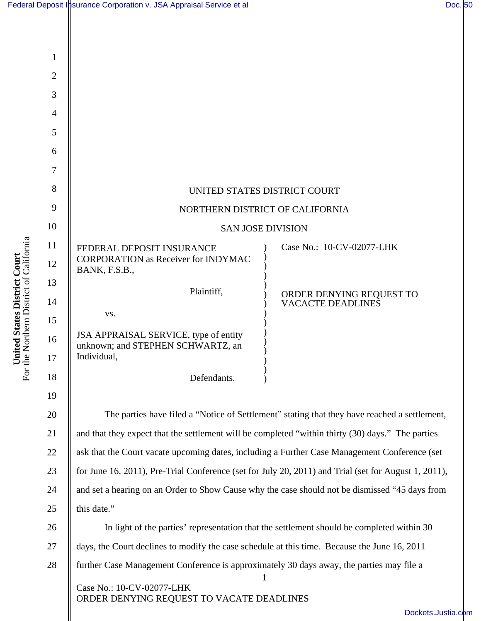|                                                                                                   | UNITED STATES DISTRICT COURT                                                                         |
|---------------------------------------------------------------------------------------------------|------------------------------------------------------------------------------------------------------|
|                                                                                                   | NORTHERN DISTRICT OF CALIFORNIA                                                                      |
|                                                                                                   | <b>SAN JOSE DIVISION</b>                                                                             |
| FEDERAL DEPOSIT INSURANCE<br><b>CORPORATION as Receiver for INDYMAC</b><br>BANK, F.S.B.,          | Case No.: 10-CV-02077-LHK                                                                            |
| Plaintiff,                                                                                        | ORDER DENYING REQUEST TO                                                                             |
| VS.                                                                                               | <b>VACACTE DEADLINES</b>                                                                             |
|                                                                                                   |                                                                                                      |
| JSA APPRAISAL SERVICE, type of entity<br>unknown; and STEPHEN SCHWARTZ, an<br>Individual,         |                                                                                                      |
| Defendants.                                                                                       |                                                                                                      |
| and that they expect that the settlement will be completed "within thirty (30) days." The parties | The parties have filed a "Notice of Settlement" stating that they have reached a settlement,         |
| ask that the Court vacate upcoming dates, including a Further Case Management Conference (set     |                                                                                                      |
|                                                                                                   | for June 16, 2011), Pre-Trial Conference (set for July 20, 2011) and Trial (set for August 1, 2011), |
|                                                                                                   | and set a hearing on an Order to Show Cause why the case should not be dismissed "45 days from       |
| this date."                                                                                       |                                                                                                      |
|                                                                                                   | In light of the parties' representation that the settlement should be completed within 30            |
| days, the Court declines to modify the case schedule at this time. Because the June 16, 2011      |                                                                                                      |
| further Case Management Conference is approximately 30 days away, the parties may file a          |                                                                                                      |
| Case No.: 10-CV-02077-LHK<br>ORDER DENYING REQUEST TO VACATE DEADLINES                            |                                                                                                      |
|                                                                                                   | Dockets.Just                                                                                         |

ckets.Justia.com

**United States District Court**<br>For the Northern District of California For the Northern District of California **United States District Court**